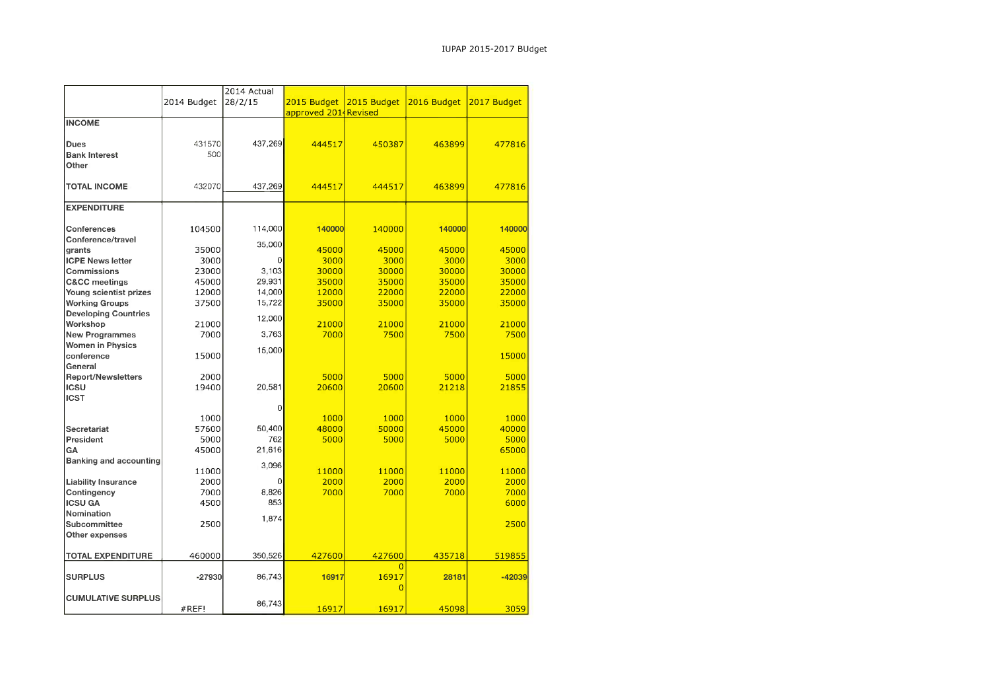| 2014 Actual                                                                  |             |
|------------------------------------------------------------------------------|-------------|
| 2015 Budget<br>2016 Budget<br>2014 Budget<br>28/2/15<br>2015 Budget          | 2017 Budget |
| approved 2014 Revised                                                        |             |
| <b>INCOME</b>                                                                |             |
|                                                                              |             |
| 437,269<br>431570<br>Dues<br>444517<br>450387<br>463899                      | 477816      |
| 500<br><b>Bank Interest</b>                                                  |             |
| Other                                                                        |             |
|                                                                              |             |
|                                                                              |             |
| 432070<br>437,269<br><b>TOTAL INCOME</b><br>444517<br>444517<br>463899       | 477816      |
|                                                                              |             |
| <b>EXPENDITURE</b>                                                           |             |
|                                                                              |             |
| Conferences<br>104500<br>114,000<br>140000<br>140000<br>140000               | 140000      |
| Conference/travel<br>35,000                                                  |             |
| 45000<br>35000<br>45000<br>45000<br>grants                                   | 45000       |
| <b>ICPE News letter</b><br>3000<br>$\overline{0}$<br>3000<br>3000<br>3000    | 3000        |
| 30000<br>30000<br>23000<br>3,103<br>30000<br><b>Commissions</b>              | 30000       |
| 29,931<br>45000<br>35000<br>35000<br>35000<br><b>C&amp;CC</b> meetings       | 35000       |
| 12000<br>14,000<br>12000<br>22000<br>22000<br>Young scientist prizes         | 22000       |
| 15,722<br><b>Working Groups</b><br>37500<br>35000<br>35000<br>35000          | 35000       |
| <b>Developing Countries</b>                                                  |             |
| 12,000<br>Workshop<br>21000<br>21000<br>21000<br>21000                       | 21000       |
| 3,763<br>7000<br>7500<br>7500<br><b>New Programmes</b><br>7000               | 7500        |
| <b>Women in Physics</b>                                                      |             |
| 15,000<br>conference<br>15000                                                | 15000       |
| General                                                                      |             |
| 5000<br><b>Report/Newsletters</b><br>2000<br>5000<br>5000                    | 5000        |
| <b>ICSU</b><br>20,581<br>19400<br>20600<br>20600<br>21218                    | 21855       |
| <b>ICST</b>                                                                  |             |
| $\overline{0}$                                                               |             |
| 1000<br>1000<br>1000<br>1000                                                 | 1000        |
| 50,400<br>48000<br>45000<br>57600<br>50000                                   |             |
| Secretariat                                                                  | 40000       |
| President<br>762<br>5000<br>5000<br>5000<br>5000                             | 5000        |
| 21,616<br>GA<br>45000                                                        | 65000       |
| <b>Banking and accounting</b><br>3,096                                       |             |
| 11000<br>11000<br>11000<br>11000                                             | 11000       |
| 2000<br>2000<br>2000<br>2000<br>$\overline{0}$<br><b>Liability Insurance</b> | 2000        |
| 8,826<br>7000<br>7000<br>Contingency<br>7000<br>7000                         | 7000        |
| <b>ICSU GA</b><br>853<br>4500                                                | 6000        |
| Nomination<br>1,874                                                          |             |
| Subcommittee<br>2500                                                         | 2500        |
| Other expenses                                                               |             |
|                                                                              |             |
| 460000<br>350,526<br>427600<br>427600<br>435718<br>TOTAL EXPENDITURE         | 519855      |
| $\Omega$                                                                     |             |
| 16917<br><b>SURPLUS</b><br>$-27930$<br>86,743<br>16917<br>28181              | $-42039$    |
| $\Omega$                                                                     |             |
| <b>CUMULATIVE SURPLUS</b>                                                    |             |
| 86,743<br>16917<br>16917<br>45098<br>#REF!                                   | 3059        |